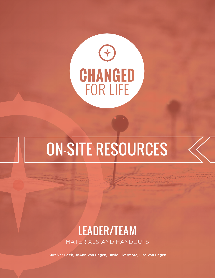

# On-Site Resources

## Leader/team materials And Handouts

Kurt Ver Beek, JoAnn Van Engen, David Livermore, Lisa Van Engen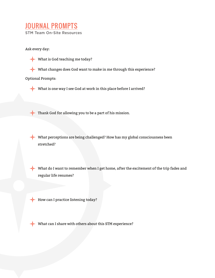### Journal Prompts STM Team On-Site Resources

Ask every day:

- What is God teaching me today?
- What changes does God want to make in me through this experience?

#### Optional Prompts:

What is one way I see God at work in this place before I arrived?

Thank God for allowing you to be a part of his mission.

What perceptions are being challenged? How has my global consciousness been stretched?

What do I want to remember when I get home, after the excitement of the trip fades and regular life resumes?

How can I practice listening today?

What can I share with others about this STM experience?